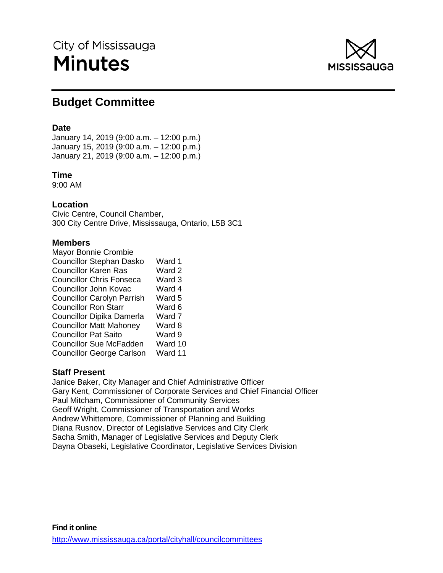# City of Mississauga **Minutes**



# **Budget Committee**

## **Date**

January 14, 2019 (9:00 a.m. – 12:00 p.m.) January 15, 2019 (9:00 a.m. – 12:00 p.m.) January 21, 2019 (9:00 a.m. – 12:00 p.m.)

## **Time**

9:00 AM

## **Location**

Civic Centre, Council Chamber, 300 City Centre Drive, Mississauga, Ontario, L5B 3C1

## **Members**

| Ward 1  |
|---------|
| Ward 2  |
| Ward 3  |
| Ward 4  |
| Ward 5  |
| Ward 6  |
| Ward 7  |
| Ward 8  |
| Ward 9  |
| Ward 10 |
| Ward 11 |
|         |

## **Staff Present**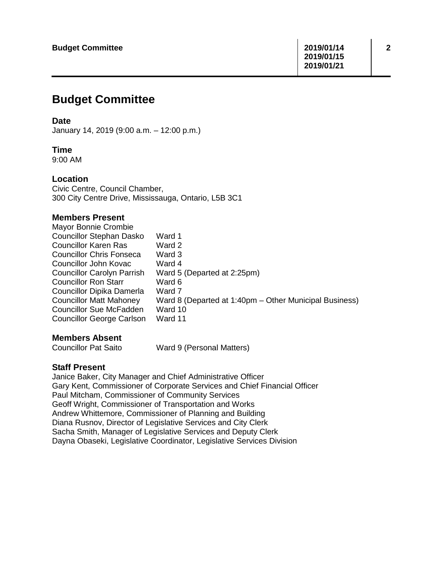## **Budget Committee**

## **Date**

January 14, 2019 (9:00 a.m. – 12:00 p.m.)

## **Time**

9:00 AM

## **Location**

Civic Centre, Council Chamber, 300 City Centre Drive, Mississauga, Ontario, L5B 3C1

## **Members Present**

| Mayor Bonnie Crombie              |                                                        |
|-----------------------------------|--------------------------------------------------------|
| <b>Councillor Stephan Dasko</b>   | Ward 1                                                 |
| <b>Councillor Karen Ras</b>       | Ward 2                                                 |
| <b>Councillor Chris Fonseca</b>   | Ward 3                                                 |
| Councillor John Kovac             | Ward 4                                                 |
| <b>Councillor Carolyn Parrish</b> | Ward 5 (Departed at 2:25pm)                            |
| <b>Councillor Ron Starr</b>       | Ward 6                                                 |
| Councillor Dipika Damerla         | Ward 7                                                 |
| <b>Councillor Matt Mahoney</b>    | Ward 8 (Departed at 1:40pm – Other Municipal Business) |
| <b>Councillor Sue McFadden</b>    | Ward 10                                                |
| <b>Councillor George Carlson</b>  | Ward 11                                                |
|                                   |                                                        |

# **Members Absent**<br>Councillor Pat Saito

Ward 9 (Personal Matters)

## **Staff Present**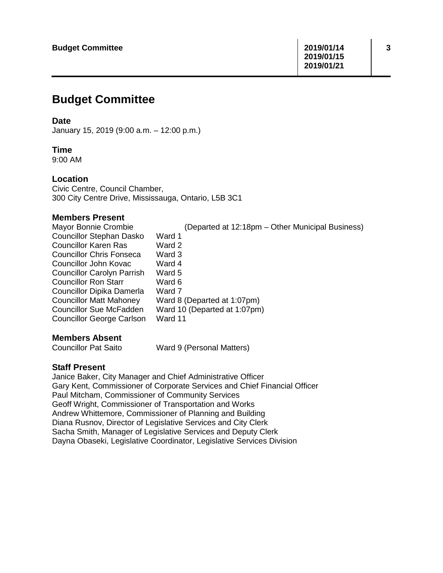## **Budget Committee**

## **Date**

January 15, 2019 (9:00 a.m. – 12:00 p.m.)

## **Time**

9:00 AM

## **Location**

Civic Centre, Council Chamber, 300 City Centre Drive, Mississauga, Ontario, L5B 3C1

## **Members Present**

| Mayor Bonnie Crombie              | (Departed at 12:18pm – Other Municipal Business) |
|-----------------------------------|--------------------------------------------------|
| <b>Councillor Stephan Dasko</b>   | Ward 1                                           |
| <b>Councillor Karen Ras</b>       | Ward 2                                           |
| <b>Councillor Chris Fonseca</b>   | Ward 3                                           |
| Councillor John Kovac             | Ward 4                                           |
| <b>Councillor Carolyn Parrish</b> | Ward 5                                           |
| <b>Councillor Ron Starr</b>       | Ward 6                                           |
| Councillor Dipika Damerla         | Ward 7                                           |
| <b>Councillor Matt Mahoney</b>    | Ward 8 (Departed at 1:07pm)                      |
| <b>Councillor Sue McFadden</b>    | Ward 10 (Departed at 1:07pm)                     |
| <b>Councillor George Carlson</b>  | Ward 11                                          |
|                                   |                                                  |

# **Members Absent**<br>Councillor Pat Saito

Ward 9 (Personal Matters)

## **Staff Present**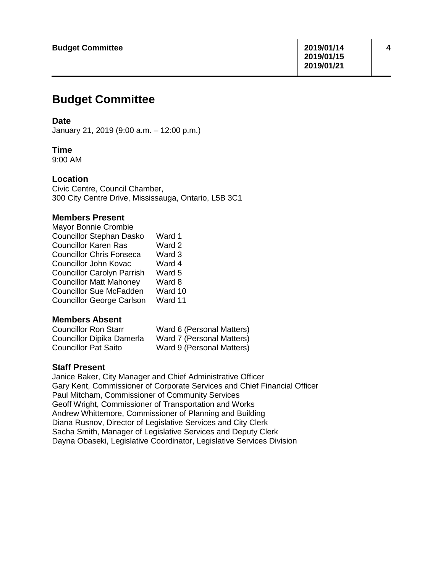## **Budget Committee**

## **Date**

January 21, 2019 (9:00 a.m. – 12:00 p.m.)

## **Time**

9:00 AM

## **Location**

Civic Centre, Council Chamber, 300 City Centre Drive, Mississauga, Ontario, L5B 3C1

## **Members Present**

| Mayor Bonnie Crombie              |         |
|-----------------------------------|---------|
| <b>Councillor Stephan Dasko</b>   | Ward 1  |
| <b>Councillor Karen Ras</b>       | Ward 2  |
| <b>Councillor Chris Fonseca</b>   | Ward 3  |
| Councillor John Kovac             | Ward 4  |
| <b>Councillor Carolyn Parrish</b> | Ward 5  |
| <b>Councillor Matt Mahoney</b>    | Ward 8  |
| <b>Councillor Sue McFadden</b>    | Ward 10 |
| <b>Councillor George Carlson</b>  | Ward 11 |
|                                   |         |

## **Members Absent**

| <b>Councillor Ron Starr</b> | Ward 6 (Personal Matters) |
|-----------------------------|---------------------------|
| Councillor Dipika Damerla   | Ward 7 (Personal Matters) |
| <b>Councillor Pat Saito</b> | Ward 9 (Personal Matters) |

## **Staff Present**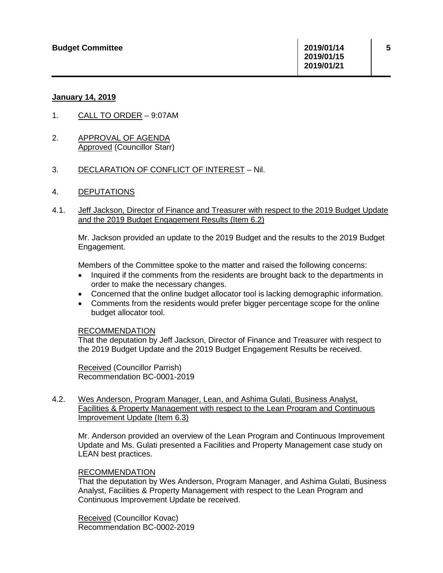## **January 14, 2019**

- 1. CALL TO ORDER 9:07AM
- 2. APPROVAL OF AGENDA Approved (Councillor Starr)
- 3. DECLARATION OF CONFLICT OF INTEREST Nil.
- 4. DEPUTATIONS
- 4.1. Jeff Jackson, Director of Finance and Treasurer with respect to the 2019 Budget Update and the 2019 Budget Engagement Results (Item 6.2)

Mr. Jackson provided an update to the 2019 Budget and the results to the 2019 Budget Engagement.

Members of the Committee spoke to the matter and raised the following concerns:

- Inquired if the comments from the residents are brought back to the departments in order to make the necessary changes.
- Concerned that the online budget allocator tool is lacking demographic information.
- Comments from the residents would prefer bigger percentage scope for the online budget allocator tool.

## RECOMMENDATION

That the deputation by Jeff Jackson, Director of Finance and Treasurer with respect to the 2019 Budget Update and the 2019 Budget Engagement Results be received.

Received (Councillor Parrish) Recommendation BC-0001-2019

## 4.2. Wes Anderson, Program Manager, Lean, and Ashima Gulati, Business Analyst, Facilities & Property Management with respect to the Lean Program and Continuous Improvement Update (Item 6.3)

Mr. Anderson provided an overview of the Lean Program and Continuous Improvement Update and Ms. Gulati presented a Facilities and Property Management case study on LEAN best practices.

## RECOMMENDATION

That the deputation by Wes Anderson, Program Manager, and Ashima Gulati, Business Analyst, Facilities & Property Management with respect to the Lean Program and Continuous Improvement Update be received.

Received (Councillor Kovac) Recommendation BC-0002-2019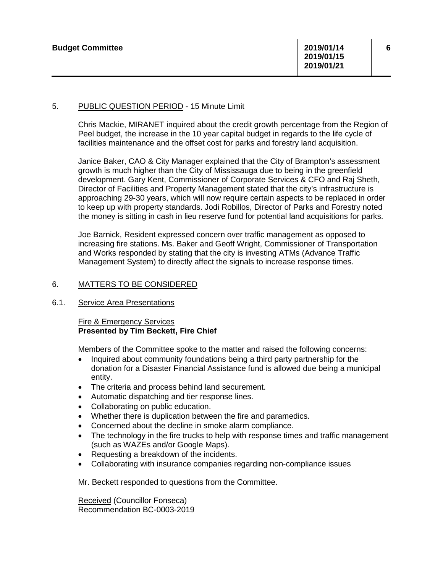## 5. PUBLIC QUESTION PERIOD - 15 Minute Limit

Chris Mackie, MIRANET inquired about the credit growth percentage from the Region of Peel budget, the increase in the 10 year capital budget in regards to the life cycle of facilities maintenance and the offset cost for parks and forestry land acquisition.

Janice Baker, CAO & City Manager explained that the City of Brampton's assessment growth is much higher than the City of Mississauga due to being in the greenfield development. Gary Kent, Commissioner of Corporate Services & CFO and Raj Sheth, Director of Facilities and Property Management stated that the city's infrastructure is approaching 29-30 years, which will now require certain aspects to be replaced in order to keep up with property standards. Jodi Robillos, Director of Parks and Forestry noted the money is sitting in cash in lieu reserve fund for potential land acquisitions for parks.

Joe Barnick, Resident expressed concern over traffic management as opposed to increasing fire stations. Ms. Baker and Geoff Wright, Commissioner of Transportation and Works responded by stating that the city is investing ATMs (Advance Traffic Management System) to directly affect the signals to increase response times.

## 6. MATTERS TO BE CONSIDERED

6.1. Service Area Presentations

## Fire & Emergency Services **Presented by Tim Beckett, Fire Chief**

Members of the Committee spoke to the matter and raised the following concerns:

- Inquired about community foundations being a third party partnership for the donation for a Disaster Financial Assistance fund is allowed due being a municipal entity.
- The criteria and process behind land securement.
- Automatic dispatching and tier response lines.
- Collaborating on public education.
- Whether there is duplication between the fire and paramedics.
- Concerned about the decline in smoke alarm compliance.
- The technology in the fire trucks to help with response times and traffic management (such as WAZEs and/or Google Maps).
- Requesting a breakdown of the incidents.
- Collaborating with insurance companies regarding non-compliance issues

Mr. Beckett responded to questions from the Committee.

Received (Councillor Fonseca) Recommendation BC-0003-2019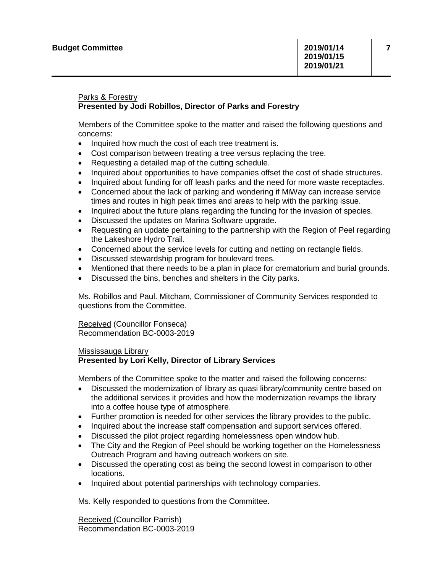## Parks & Forestry **Presented by Jodi Robillos, Director of Parks and Forestry**

Members of the Committee spoke to the matter and raised the following questions and concerns:

- Inquired how much the cost of each tree treatment is.
- Cost comparison between treating a tree versus replacing the tree.
- Requesting a detailed map of the cutting schedule.
- Inquired about opportunities to have companies offset the cost of shade structures.
- Inquired about funding for off leash parks and the need for more waste receptacles.
- Concerned about the lack of parking and wondering if MiWay can increase service times and routes in high peak times and areas to help with the parking issue.
- Inquired about the future plans regarding the funding for the invasion of species.
- Discussed the updates on Marina Software upgrade.
- Requesting an update pertaining to the partnership with the Region of Peel regarding the Lakeshore Hydro Trail.
- Concerned about the service levels for cutting and netting on rectangle fields.
- Discussed stewardship program for boulevard trees.
- Mentioned that there needs to be a plan in place for crematorium and burial grounds.
- Discussed the bins, benches and shelters in the City parks.

Ms. Robillos and Paul. Mitcham, Commissioner of Community Services responded to questions from the Committee.

Received (Councillor Fonseca) Recommendation BC-0003-2019

## Mississauga Library **Presented by Lori Kelly, Director of Library Services**

Members of the Committee spoke to the matter and raised the following concerns:

- Discussed the modernization of library as quasi library/community centre based on the additional services it provides and how the modernization revamps the library into a coffee house type of atmosphere.
- Further promotion is needed for other services the library provides to the public.
- Inquired about the increase staff compensation and support services offered.
- Discussed the pilot project regarding homelessness open window hub.
- The City and the Region of Peel should be working together on the Homelessness Outreach Program and having outreach workers on site.
- Discussed the operating cost as being the second lowest in comparison to other locations.
- Inquired about potential partnerships with technology companies.

Ms. Kelly responded to questions from the Committee.

Received (Councillor Parrish) Recommendation BC-0003-2019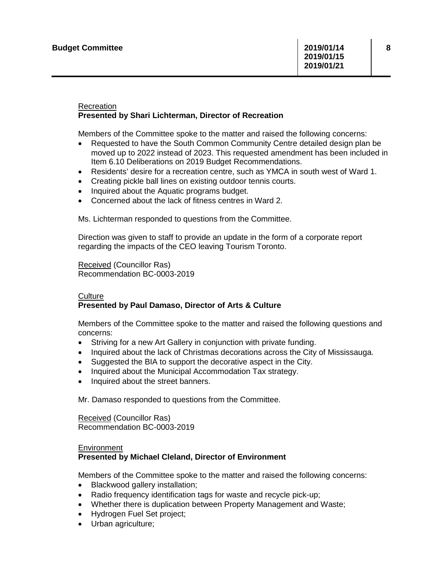## Recreation **Presented by Shari Lichterman, Director of Recreation**

Members of the Committee spoke to the matter and raised the following concerns:

- Requested to have the South Common Community Centre detailed design plan be moved up to 2022 instead of 2023. This requested amendment has been included in Item 6.10 Deliberations on 2019 Budget Recommendations.
- Residents' desire for a recreation centre, such as YMCA in south west of Ward 1.
- Creating pickle ball lines on existing outdoor tennis courts.
- Inquired about the Aquatic programs budget.
- Concerned about the lack of fitness centres in Ward 2.

Ms. Lichterman responded to questions from the Committee.

Direction was given to staff to provide an update in the form of a corporate report regarding the impacts of the CEO leaving Tourism Toronto.

Received (Councillor Ras) Recommendation BC-0003-2019

## **Culture**

## **Presented by Paul Damaso, Director of Arts & Culture**

Members of the Committee spoke to the matter and raised the following questions and concerns:

- Striving for a new Art Gallery in conjunction with private funding.
- Inquired about the lack of Christmas decorations across the City of Mississauga.
- Suggested the BIA to support the decorative aspect in the City.
- Inquired about the Municipal Accommodation Tax strategy.
- Inquired about the street banners.

Mr. Damaso responded to questions from the Committee.

Received (Councillor Ras) Recommendation BC-0003-2019

#### Environment **Presented by Michael Cleland, Director of Environment**

Members of the Committee spoke to the matter and raised the following concerns:

- Blackwood gallery installation;
- Radio frequency identification tags for waste and recycle pick-up;
- Whether there is duplication between Property Management and Waste;
- Hydrogen Fuel Set project;
- Urban agriculture;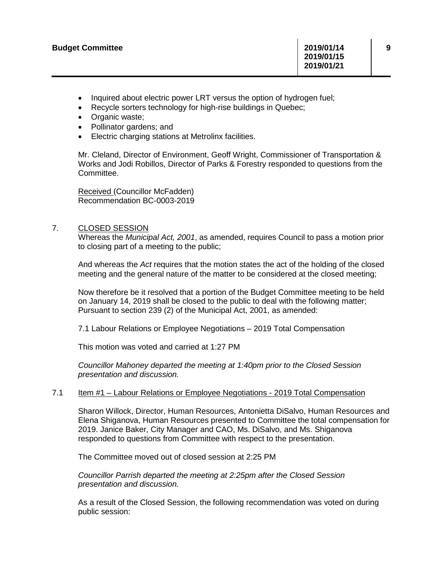- Inquired about electric power LRT versus the option of hydrogen fuel;
- Recycle sorters technology for high-rise buildings in Quebec;
- Organic waste;
- Pollinator gardens; and
- Electric charging stations at Metrolinx facilities.

Mr. Cleland, Director of Environment, Geoff Wright, Commissioner of Transportation & Works and Jodi Robillos, Director of Parks & Forestry responded to questions from the Committee.

Received (Councillor McFadden) Recommendation BC-0003-2019

## 7. CLOSED SESSION

Whereas the *Municipal Act, 2001*, as amended, requires Council to pass a motion prior to closing part of a meeting to the public;

And whereas the *Act* requires that the motion states the act of the holding of the closed meeting and the general nature of the matter to be considered at the closed meeting;

Now therefore be it resolved that a portion of the Budget Committee meeting to be held on January 14, 2019 shall be closed to the public to deal with the following matter; Pursuant to section 239 (2) of the Municipal Act, 2001, as amended:

7.1 Labour Relations or Employee Negotiations – 2019 Total Compensation

This motion was voted and carried at 1:27 PM

*Councillor Mahoney departed the meeting at 1:40pm prior to the Closed Session presentation and discussion.*

## 7.1 Item #1 – Labour Relations or Employee Negotiations - 2019 Total Compensation

Sharon Willock, Director, Human Resources, Antonietta DiSalvo, Human Resources and Elena Shiganova, Human Resources presented to Committee the total compensation for 2019. Janice Baker, City Manager and CAO, Ms. DiSalvo, and Ms. Shiganova responded to questions from Committee with respect to the presentation.

The Committee moved out of closed session at 2:25 PM

*Councillor Parrish departed the meeting at 2:25pm after the Closed Session presentation and discussion.*

As a result of the Closed Session, the following recommendation was voted on during public session: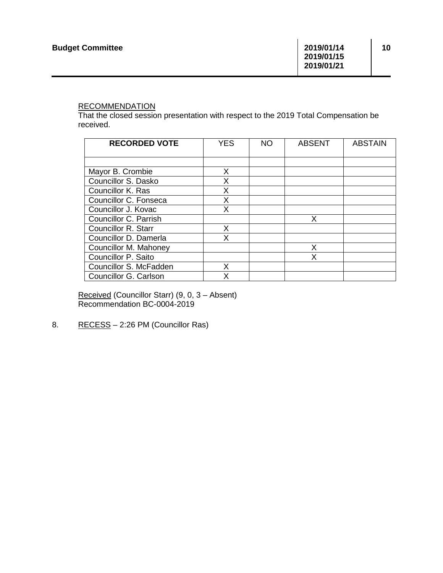## **RECOMMENDATION**

That the closed session presentation with respect to the 2019 Total Compensation be received.

| <b>RECORDED VOTE</b>   | <b>YES</b> | NO. | <b>ABSENT</b> | <b>ABSTAIN</b> |
|------------------------|------------|-----|---------------|----------------|
|                        |            |     |               |                |
| Mayor B. Crombie       | X          |     |               |                |
| Councillor S. Dasko    | X          |     |               |                |
| Councillor K. Ras      | Х          |     |               |                |
| Councillor C. Fonseca  | x          |     |               |                |
| Councillor J. Kovac    | X          |     |               |                |
| Councillor C. Parrish  |            |     | X             |                |
| Councillor R. Starr    | x          |     |               |                |
| Councillor D. Damerla  | X          |     |               |                |
| Councillor M. Mahoney  |            |     | X             |                |
| Councillor P. Saito    |            |     | X             |                |
| Councillor S. McFadden | x          |     |               |                |
| Councillor G. Carlson  |            |     |               |                |

Received (Councillor Starr) (9, 0, 3 – Absent) Recommendation BC-0004-2019

8. RECESS - 2:26 PM (Councillor Ras)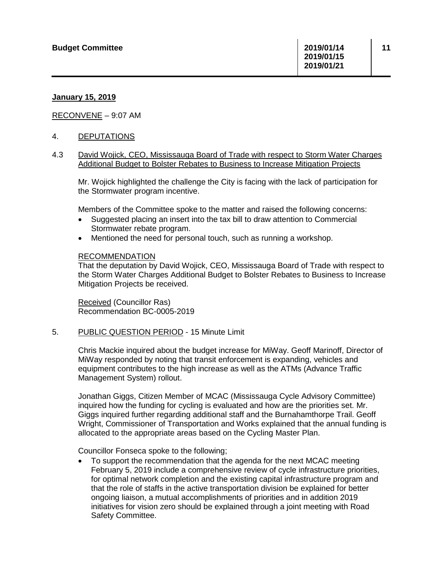## **January 15, 2019**

RECONVENE – 9:07 AM

## 4. DEPUTATIONS

## 4.3 David Wojick, CEO, Mississauga Board of Trade with respect to Storm Water Charges Additional Budget to Bolster Rebates to Business to Increase Mitigation Projects

Mr. Wojick highlighted the challenge the City is facing with the lack of participation for the Stormwater program incentive.

Members of the Committee spoke to the matter and raised the following concerns:

- Suggested placing an insert into the tax bill to draw attention to Commercial Stormwater rebate program.
- Mentioned the need for personal touch, such as running a workshop.

#### RECOMMENDATION

That the deputation by David Wojick, CEO, Mississauga Board of Trade with respect to the Storm Water Charges Additional Budget to Bolster Rebates to Business to Increase Mitigation Projects be received.

Received (Councillor Ras) Recommendation BC-0005-2019

5. PUBLIC QUESTION PERIOD - 15 Minute Limit

Chris Mackie inquired about the budget increase for MiWay. Geoff Marinoff, Director of MiWay responded by noting that transit enforcement is expanding, vehicles and equipment contributes to the high increase as well as the ATMs (Advance Traffic Management System) rollout.

Jonathan Giggs, Citizen Member of MCAC (Mississauga Cycle Advisory Committee) inquired how the funding for cycling is evaluated and how are the priorities set. Mr. Giggs inquired further regarding additional staff and the Burnahamthorpe Trail. Geoff Wright, Commissioner of Transportation and Works explained that the annual funding is allocated to the appropriate areas based on the Cycling Master Plan.

Councillor Fonseca spoke to the following;

• To support the recommendation that the agenda for the next MCAC meeting February 5, 2019 include a comprehensive review of cycle infrastructure priorities, for optimal network completion and the existing capital infrastructure program and that the role of staffs in the active transportation division be explained for better ongoing liaison, a mutual accomplishments of priorities and in addition 2019 initiatives for vision zero should be explained through a joint meeting with Road Safety Committee.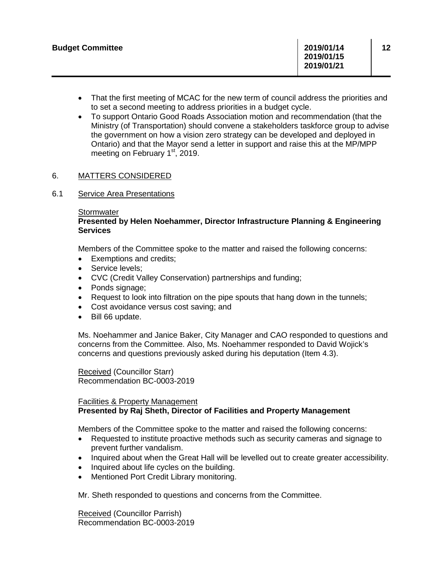- That the first meeting of MCAC for the new term of council address the priorities and to set a second meeting to address priorities in a budget cycle.
- To support Ontario Good Roads Association motion and recommendation (that the Ministry (of Transportation) should convene a stakeholders taskforce group to advise the government on how a vision zero strategy can be developed and deployed in Ontario) and that the Mayor send a letter in support and raise this at the MP/MPP meeting on February  $1<sup>st</sup>$ , 2019.

## 6. MATTERS CONSIDERED

## 6.1 Service Area Presentations

## **Stormwater**

## **Presented by Helen Noehammer, Director Infrastructure Planning & Engineering Services**

Members of the Committee spoke to the matter and raised the following concerns:

- Exemptions and credits;
- Service levels;
- CVC (Credit Valley Conservation) partnerships and funding;
- Ponds signage:
- Request to look into filtration on the pipe spouts that hang down in the tunnels;
- Cost avoidance versus cost saving; and
- Bill 66 update.

Ms. Noehammer and Janice Baker, City Manager and CAO responded to questions and concerns from the Committee. Also, Ms. Noehammer responded to David Wojick's concerns and questions previously asked during his deputation (Item 4.3).

Received (Councillor Starr) Recommendation BC-0003-2019

## Facilities & Property Management **Presented by Raj Sheth, Director of Facilities and Property Management**

Members of the Committee spoke to the matter and raised the following concerns:

- Requested to institute proactive methods such as security cameras and signage to prevent further vandalism.
- Inquired about when the Great Hall will be levelled out to create greater accessibility.
- Inquired about life cycles on the building.
- Mentioned Port Credit Library monitoring.

Mr. Sheth responded to questions and concerns from the Committee.

Received (Councillor Parrish) Recommendation BC-0003-2019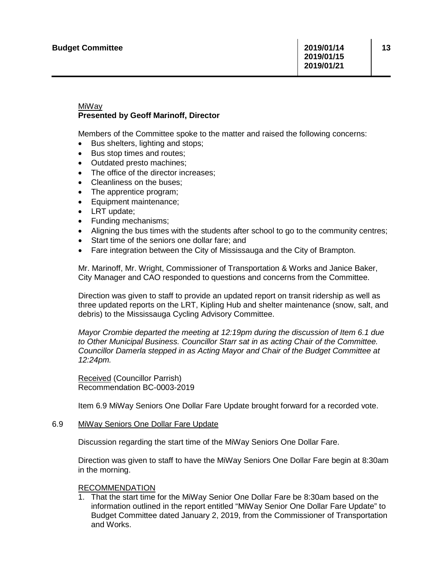## MiWay **Presented by Geoff Marinoff, Director**

Members of the Committee spoke to the matter and raised the following concerns:

- Bus shelters, lighting and stops;
- Bus stop times and routes;
- Outdated presto machines;
- The office of the director increases;
- Cleanliness on the buses;
- The apprentice program;
- Equipment maintenance;
- LRT update;
- Funding mechanisms;
- Aligning the bus times with the students after school to go to the community centres;
- Start time of the seniors one dollar fare; and
- Fare integration between the City of Mississauga and the City of Brampton.

Mr. Marinoff, Mr. Wright, Commissioner of Transportation & Works and Janice Baker, City Manager and CAO responded to questions and concerns from the Committee.

Direction was given to staff to provide an updated report on transit ridership as well as three updated reports on the LRT, Kipling Hub and shelter maintenance (snow, salt, and debris) to the Mississauga Cycling Advisory Committee.

*Mayor Crombie departed the meeting at 12:19pm during the discussion of Item 6.1 due to Other Municipal Business. Councillor Starr sat in as acting Chair of the Committee. Councillor Damerla stepped in as Acting Mayor and Chair of the Budget Committee at 12:24pm.* 

Received (Councillor Parrish) Recommendation BC-0003-2019

Item 6.9 MiWay Seniors One Dollar Fare Update brought forward for a recorded vote.

## 6.9 MiWay Seniors One Dollar Fare Update

Discussion regarding the start time of the MiWay Seniors One Dollar Fare.

Direction was given to staff to have the MiWay Seniors One Dollar Fare begin at 8:30am in the morning.

## RECOMMENDATION

1. That the start time for the MiWay Senior One Dollar Fare be 8:30am based on the information outlined in the report entitled "MiWay Senior One Dollar Fare Update" to Budget Committee dated January 2, 2019, from the Commissioner of Transportation and Works.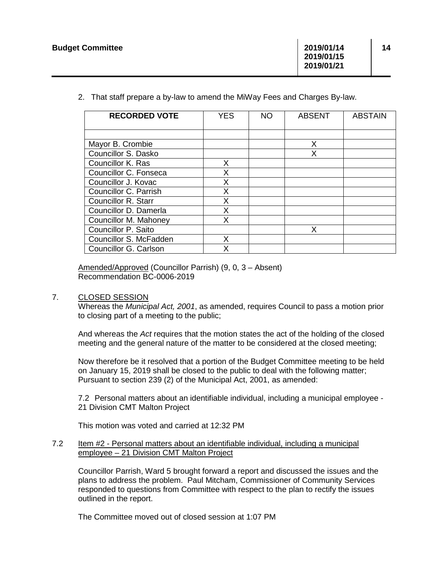2. That staff prepare a by-law to amend the MiWay Fees and Charges By-law.

| <b>RECORDED VOTE</b>   | <b>YES</b> | NO. | <b>ABSENT</b> | <b>ABSTAIN</b> |
|------------------------|------------|-----|---------------|----------------|
|                        |            |     |               |                |
| Mayor B. Crombie       |            |     | X             |                |
| Councillor S. Dasko    |            |     | x             |                |
| Councillor K. Ras      | X.         |     |               |                |
| Councillor C. Fonseca  | X          |     |               |                |
| Councillor J. Kovac    | x          |     |               |                |
| Councillor C. Parrish  | X          |     |               |                |
| Councillor R. Starr    | X          |     |               |                |
| Councillor D. Damerla  | X          |     |               |                |
| Councillor M. Mahoney  | x          |     |               |                |
| Councillor P. Saito    |            |     | X             |                |
| Councillor S. McFadden | x          |     |               |                |
| Councillor G. Carlson  |            |     |               |                |

Amended/Approved (Councillor Parrish) (9, 0, 3 – Absent) Recommendation BC-0006-2019

## 7. CLOSED SESSION

Whereas the *Municipal Act, 2001*, as amended, requires Council to pass a motion prior to closing part of a meeting to the public;

And whereas the *Act* requires that the motion states the act of the holding of the closed meeting and the general nature of the matter to be considered at the closed meeting;

Now therefore be it resolved that a portion of the Budget Committee meeting to be held on January 15, 2019 shall be closed to the public to deal with the following matter; Pursuant to section 239 (2) of the Municipal Act, 2001, as amended:

7.2 Personal matters about an identifiable individual, including a municipal employee - 21 Division CMT Malton Project

This motion was voted and carried at 12:32 PM

## 7.2 Item #2 - Personal matters about an identifiable individual, including a municipal employee – 21 Division CMT Malton Project

Councillor Parrish, Ward 5 brought forward a report and discussed the issues and the plans to address the problem. Paul Mitcham, Commissioner of Community Services responded to questions from Committee with respect to the plan to rectify the issues outlined in the report.

The Committee moved out of closed session at 1:07 PM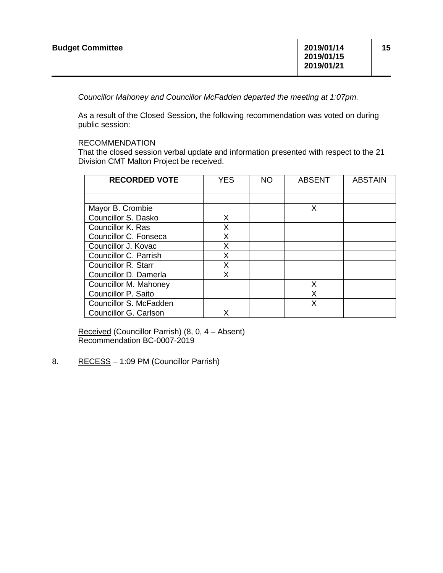*Councillor Mahoney and Councillor McFadden departed the meeting at 1:07pm.* 

As a result of the Closed Session, the following recommendation was voted on during public session:

## RECOMMENDATION

That the closed session verbal update and information presented with respect to the 21 Division CMT Malton Project be received.

| <b>RECORDED VOTE</b>       | <b>YES</b> | NO. | <b>ABSENT</b> | <b>ABSTAIN</b> |
|----------------------------|------------|-----|---------------|----------------|
|                            |            |     |               |                |
| Mayor B. Crombie           |            |     | X             |                |
| Councillor S. Dasko        | X          |     |               |                |
| Councillor K. Ras          | X          |     |               |                |
| Councillor C. Fonseca      | X          |     |               |                |
| Councillor J. Kovac        | x          |     |               |                |
| Councillor C. Parrish      | X          |     |               |                |
| <b>Councillor R. Starr</b> | X          |     |               |                |
| Councillor D. Damerla      | X          |     |               |                |
| Councillor M. Mahoney      |            |     | X             |                |
| Councillor P. Saito        |            |     | X             |                |
| Councillor S. McFadden     |            |     |               |                |
| Councillor G. Carlson      | x          |     |               |                |

Received (Councillor Parrish) (8, 0, 4 – Absent) Recommendation BC-0007-2019

8. RECESS - 1:09 PM (Councillor Parrish)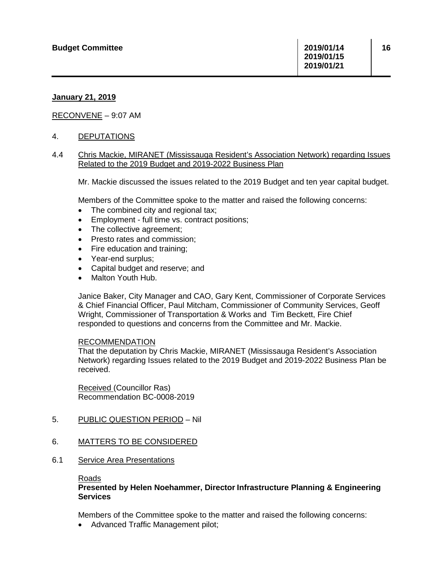## **January 21, 2019**

## RECONVENE – 9:07 AM

## 4. DEPUTATIONS

## 4.4 Chris Mackie, MIRANET (Mississauga Resident's Association Network) regarding Issues Related to the 2019 Budget and 2019-2022 Business Plan

Mr. Mackie discussed the issues related to the 2019 Budget and ten year capital budget.

Members of the Committee spoke to the matter and raised the following concerns:

- The combined city and regional tax;
- Employment full time vs. contract positions:
- The collective agreement;
- Presto rates and commission;
- Fire education and training;
- Year-end surplus;
- Capital budget and reserve; and
- Malton Youth Hub.

Janice Baker, City Manager and CAO, Gary Kent, Commissioner of Corporate Services & Chief Financial Officer, Paul Mitcham, Commissioner of Community Services, Geoff Wright, Commissioner of Transportation & Works and Tim Beckett, Fire Chief responded to questions and concerns from the Committee and Mr. Mackie.

## RECOMMENDATION

That the deputation by Chris Mackie, MIRANET (Mississauga Resident's Association Network) regarding Issues related to the 2019 Budget and 2019-2022 Business Plan be received.

Received (Councillor Ras) Recommendation BC-0008-2019

## 5. PUBLIC QUESTION PERIOD – Nil

## 6. MATTERS TO BE CONSIDERED

6.1 Service Area Presentations

Roads

## **Presented by Helen Noehammer, Director Infrastructure Planning & Engineering Services**

Members of the Committee spoke to the matter and raised the following concerns:

• Advanced Traffic Management pilot;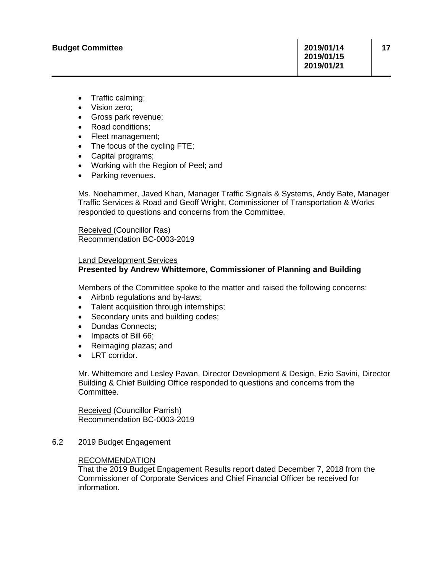- Traffic calming;
- Vision zero;
- Gross park revenue;
- Road conditions;
- Fleet management;
- The focus of the cycling FTE;
- Capital programs;
- Working with the Region of Peel; and
- Parking revenues.

Ms. Noehammer, Javed Khan, Manager Traffic Signals & Systems, Andy Bate, Manager Traffic Services & Road and Geoff Wright, Commissioner of Transportation & Works responded to questions and concerns from the Committee.

Received (Councillor Ras) Recommendation BC-0003-2019

## Land Development Services **Presented by Andrew Whittemore, Commissioner of Planning and Building**

Members of the Committee spoke to the matter and raised the following concerns:

- Airbnb regulations and by-laws;
- Talent acquisition through internships;
- Secondary units and building codes;
- Dundas Connects;
- Impacts of Bill 66;
- Reimaging plazas; and
- LRT corridor.

Mr. Whittemore and Lesley Pavan, Director Development & Design, Ezio Savini, Director Building & Chief Building Office responded to questions and concerns from the Committee.

Received (Councillor Parrish) Recommendation BC-0003-2019

6.2 2019 Budget Engagement

## RECOMMENDATION

That the 2019 Budget Engagement Results report dated December 7, 2018 from the Commissioner of Corporate Services and Chief Financial Officer be received for information.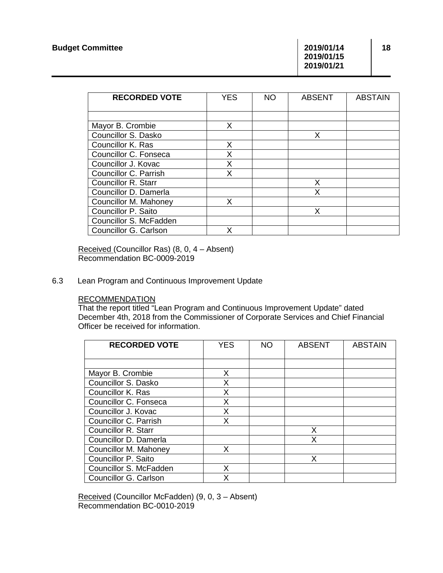**2019/01/15 2019/01/21**

**18**

| <b>RECORDED VOTE</b>   | <b>YES</b> | <b>NO</b> | <b>ABSENT</b> | <b>ABSTAIN</b> |
|------------------------|------------|-----------|---------------|----------------|
|                        |            |           |               |                |
|                        |            |           |               |                |
| Mayor B. Crombie       | X          |           |               |                |
| Councillor S. Dasko    |            |           | X             |                |
| Councillor K. Ras      | X          |           |               |                |
| Councillor C. Fonseca  | X          |           |               |                |
| Councillor J. Kovac    | X          |           |               |                |
| Councillor C. Parrish  | x          |           |               |                |
| Councillor R. Starr    |            |           | X             |                |
| Councillor D. Damerla  |            |           |               |                |
| Councillor M. Mahoney  | X          |           |               |                |
| Councillor P. Saito    |            |           |               |                |
| Councillor S. McFadden |            |           |               |                |
| Councillor G. Carlson  |            |           |               |                |

Received (Councillor Ras) (8, 0, 4 – Absent) Recommendation BC-0009-2019

## 6.3 Lean Program and Continuous Improvement Update

### RECOMMENDATION

That the report titled "Lean Program and Continuous Improvement Update" dated December 4th, 2018 from the Commissioner of Corporate Services and Chief Financial Officer be received for information.

| <b>RECORDED VOTE</b>       | <b>YES</b> | <b>NO</b> | <b>ABSENT</b> | <b>ABSTAIN</b> |
|----------------------------|------------|-----------|---------------|----------------|
|                            |            |           |               |                |
| Mayor B. Crombie           | X.         |           |               |                |
| Councillor S. Dasko        | X          |           |               |                |
| Councillor K. Ras          | X          |           |               |                |
| Councillor C. Fonseca      | X          |           |               |                |
| Councillor J. Kovac        | X          |           |               |                |
| Councillor C. Parrish      | X          |           |               |                |
| <b>Councillor R. Starr</b> |            |           | X             |                |
| Councillor D. Damerla      |            |           | X             |                |
| Councillor M. Mahoney      | x          |           |               |                |
| Councillor P. Saito        |            |           | X             |                |
| Councillor S. McFadden     | x          |           |               |                |
| Councillor G. Carlson      | x          |           |               |                |

Received (Councillor McFadden) (9, 0, 3 – Absent) Recommendation BC-0010-2019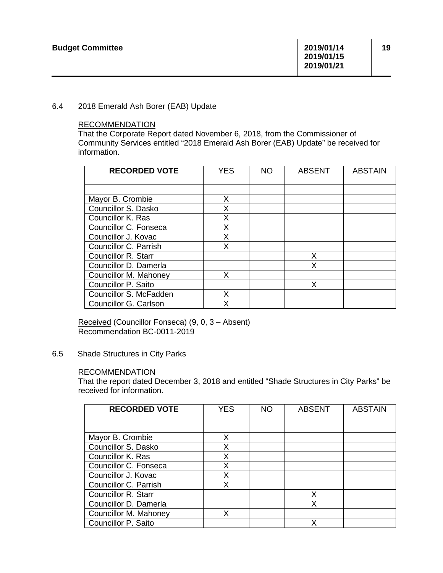## 6.4 2018 Emerald Ash Borer (EAB) Update

## RECOMMENDATION

That the Corporate Report dated November 6, 2018, from the Commissioner of Community Services entitled "2018 Emerald Ash Borer (EAB) Update" be received for information.

| <b>RECORDED VOTE</b>       | <b>YES</b> | <b>NO</b> | <b>ABSENT</b> | <b>ABSTAIN</b> |
|----------------------------|------------|-----------|---------------|----------------|
|                            |            |           |               |                |
| Mayor B. Crombie           | X          |           |               |                |
| Councillor S. Dasko        | X          |           |               |                |
| Councillor K. Ras          | X          |           |               |                |
| Councillor C. Fonseca      | X          |           |               |                |
| Councillor J. Kovac        | X          |           |               |                |
| Councillor C. Parrish      | X          |           |               |                |
| <b>Councillor R. Starr</b> |            |           | X             |                |
| Councillor D. Damerla      |            |           | X             |                |
| Councillor M. Mahoney      | X.         |           |               |                |
| Councillor P. Saito        |            |           | X             |                |
| Councillor S. McFadden     | x          |           |               |                |
| Councillor G. Carlson      | x          |           |               |                |

Received (Councillor Fonseca) (9, 0, 3 – Absent) Recommendation BC-0011-2019

6.5 Shade Structures in City Parks

## RECOMMENDATION

That the report dated December 3, 2018 and entitled "Shade Structures in City Parks" be received for information.

| <b>RECORDED VOTE</b>       | <b>YES</b> | <b>NO</b> | <b>ABSENT</b> | <b>ABSTAIN</b> |
|----------------------------|------------|-----------|---------------|----------------|
|                            |            |           |               |                |
| Mayor B. Crombie           | x          |           |               |                |
| Councillor S. Dasko        | X          |           |               |                |
| Councillor K. Ras          | X          |           |               |                |
| Councillor C. Fonseca      | x          |           |               |                |
| Councillor J. Kovac        | x          |           |               |                |
| Councillor C. Parrish      | X          |           |               |                |
| <b>Councillor R. Starr</b> |            |           | x             |                |
| Councillor D. Damerla      |            |           | X             |                |
| Councillor M. Mahoney      | x          |           |               |                |
| Councillor P. Saito        |            |           | x             |                |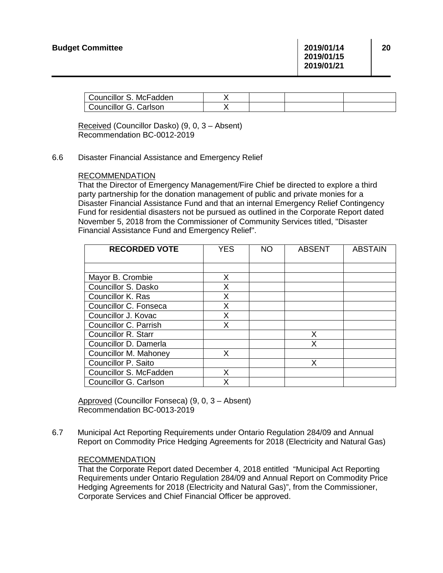| Councillor S. McFadden |  |  |
|------------------------|--|--|
| Councillor G. Carlson  |  |  |

Received (Councillor Dasko) (9, 0, 3 – Absent) Recommendation BC-0012-2019

6.6 Disaster Financial Assistance and Emergency Relief

## RECOMMENDATION

That the Director of Emergency Management/Fire Chief be directed to explore a third party partnership for the donation management of public and private monies for a Disaster Financial Assistance Fund and that an internal Emergency Relief Contingency Fund for residential disasters not be pursued as outlined in the Corporate Report dated November 5, 2018 from the Commissioner of Community Services titled, "Disaster Financial Assistance Fund and Emergency Relief".

| <b>RECORDED VOTE</b>       | <b>YES</b> | <b>NO</b> | <b>ABSENT</b> | <b>ABSTAIN</b> |
|----------------------------|------------|-----------|---------------|----------------|
|                            |            |           |               |                |
| Mayor B. Crombie           | X          |           |               |                |
| Councillor S. Dasko        | X          |           |               |                |
| Councillor K. Ras          | X          |           |               |                |
| Councillor C. Fonseca      | X          |           |               |                |
| Councillor J. Kovac        | X          |           |               |                |
| Councillor C. Parrish      | X          |           |               |                |
| <b>Councillor R. Starr</b> |            |           | X             |                |
| Councillor D. Damerla      |            |           | X             |                |
| Councillor M. Mahoney      | X          |           |               |                |
| Councillor P. Saito        |            |           | X             |                |
| Councillor S. McFadden     | x          |           |               |                |
| Councillor G. Carlson      | x          |           |               |                |

Approved (Councillor Fonseca) (9, 0, 3 – Absent) Recommendation BC-0013-2019

6.7 Municipal Act Reporting Requirements under Ontario Regulation 284/09 and Annual Report on Commodity Price Hedging Agreements for 2018 (Electricity and Natural Gas)

## RECOMMENDATION

That the Corporate Report dated December 4, 2018 entitled "Municipal Act Reporting Requirements under Ontario Regulation 284/09 and Annual Report on Commodity Price Hedging Agreements for 2018 (Electricity and Natural Gas)", from the Commissioner, Corporate Services and Chief Financial Officer be approved.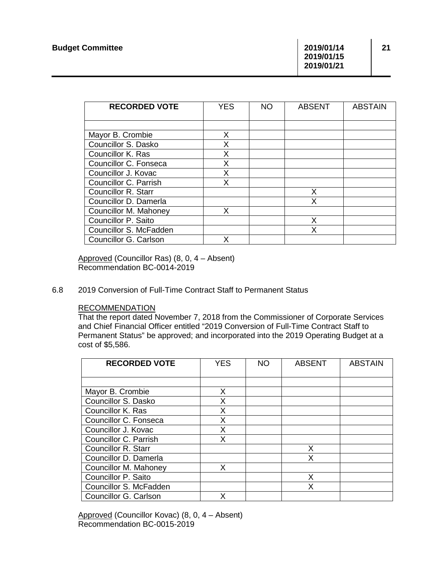**2019/01/15 2019/01/21**

| <b>RECORDED VOTE</b>   | <b>YES</b> | <b>NO</b> | <b>ABSENT</b> | <b>ABSTAIN</b> |
|------------------------|------------|-----------|---------------|----------------|
|                        |            |           |               |                |
| Mayor B. Crombie       | Х          |           |               |                |
| Councillor S. Dasko    | X          |           |               |                |
| Councillor K. Ras      | X          |           |               |                |
| Councillor C. Fonseca  | X          |           |               |                |
| Councillor J. Kovac    | Χ          |           |               |                |
| Councillor C. Parrish  | X          |           |               |                |
| Councillor R. Starr    |            |           | X             |                |
| Councillor D. Damerla  |            |           | X             |                |
| Councillor M. Mahoney  | X          |           |               |                |
| Councillor P. Saito    |            |           | X             |                |
| Councillor S. McFadden |            |           | x             |                |
| Councillor G. Carlson  |            |           |               |                |

Approved (Councillor Ras) (8, 0, 4 – Absent) Recommendation BC-0014-2019

6.8 2019 Conversion of Full-Time Contract Staff to Permanent Status

## RECOMMENDATION

That the report dated November 7, 2018 from the Commissioner of Corporate Services and Chief Financial Officer entitled "2019 Conversion of Full-Time Contract Staff to Permanent Status" be approved; and incorporated into the 2019 Operating Budget at a cost of \$5,586.

| <b>RECORDED VOTE</b>       | <b>YES</b> | <b>NO</b> | <b>ABSENT</b> | <b>ABSTAIN</b> |
|----------------------------|------------|-----------|---------------|----------------|
|                            |            |           |               |                |
| Mayor B. Crombie           | X          |           |               |                |
| Councillor S. Dasko        | X          |           |               |                |
| Councillor K. Ras          | X          |           |               |                |
| Councillor C. Fonseca      | X          |           |               |                |
| Councillor J. Kovac        | X          |           |               |                |
| Councillor C. Parrish      | X          |           |               |                |
| <b>Councillor R. Starr</b> |            |           | x             |                |
| Councillor D. Damerla      |            |           | X             |                |
| Councillor M. Mahoney      | X          |           |               |                |
| Councillor P. Saito        |            |           | X             |                |
| Councillor S. McFadden     |            |           | X             |                |
| Councillor G. Carlson      |            |           |               |                |

Approved (Councillor Kovac) (8, 0, 4 – Absent) Recommendation BC-0015-2019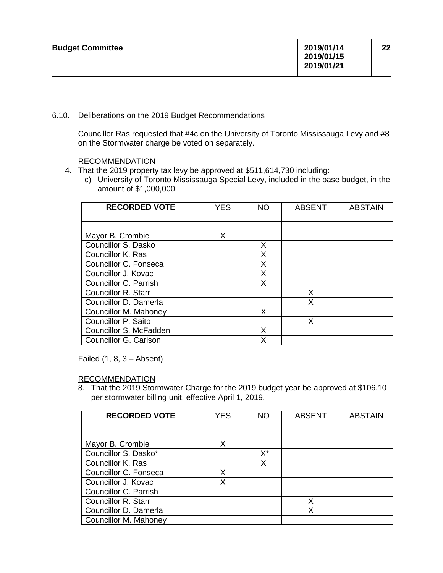6.10. Deliberations on the 2019 Budget Recommendations

Councillor Ras requested that #4c on the University of Toronto Mississauga Levy and #8 on the Stormwater charge be voted on separately.

## RECOMMENDATION

- 4. That the 2019 property tax levy be approved at \$511,614,730 including:
	- c) University of Toronto Mississauga Special Levy, included in the base budget, in the amount of \$1,000,000

| <b>RECORDED VOTE</b>       | <b>YES</b> | <b>NO</b> | <b>ABSENT</b> | <b>ABSTAIN</b> |
|----------------------------|------------|-----------|---------------|----------------|
|                            |            |           |               |                |
| Mayor B. Crombie           | X.         |           |               |                |
| Councillor S. Dasko        |            | X         |               |                |
| Councillor K. Ras          |            | X         |               |                |
| Councillor C. Fonseca      |            | X         |               |                |
| Councillor J. Kovac        |            | X         |               |                |
| Councillor C. Parrish      |            | X         |               |                |
| <b>Councillor R. Starr</b> |            |           | X             |                |
| Councillor D. Damerla      |            |           | X             |                |
| Councillor M. Mahoney      |            | X         |               |                |
| Councillor P. Saito        |            |           | x             |                |
| Councillor S. McFadden     |            | X         |               |                |
| Councillor G. Carlson      |            | X         |               |                |

Failed  $(1, 8, 3 -$ Absent)

## RECOMMENDATION

8. That the 2019 Stormwater Charge for the 2019 budget year be approved at \$106.10 per stormwater billing unit, effective April 1, 2019.

| <b>RECORDED VOTE</b>       | <b>YES</b> | <b>NO</b> | <b>ABSENT</b> | <b>ABSTAIN</b> |
|----------------------------|------------|-----------|---------------|----------------|
|                            |            |           |               |                |
| Mayor B. Crombie           | x          |           |               |                |
| Councillor S. Dasko*       |            | X*        |               |                |
| Councillor K. Ras          |            | x         |               |                |
| Councillor C. Fonseca      | x          |           |               |                |
| Councillor J. Kovac        | x          |           |               |                |
| Councillor C. Parrish      |            |           |               |                |
| <b>Councillor R. Starr</b> |            |           | x             |                |
| Councillor D. Damerla      |            |           |               |                |
| Councillor M. Mahoney      |            |           |               |                |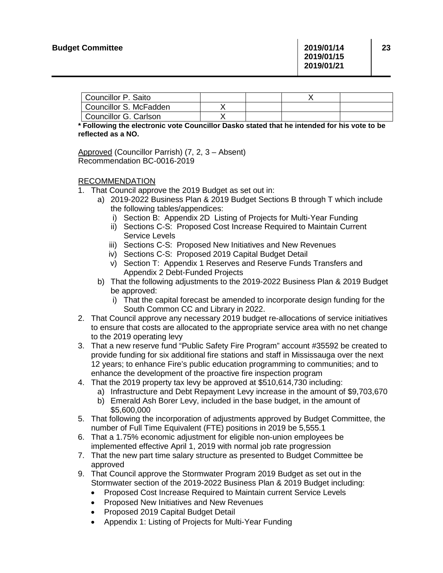| Councillor P. Saito    |  |  |
|------------------------|--|--|
| Councillor S. McFadden |  |  |
| Councillor G. Carlson  |  |  |

**\* Following the electronic vote Councillor Dasko stated that he intended for his vote to be reflected as a NO.** 

Approved (Councillor Parrish) (7, 2, 3 – Absent) Recommendation BC-0016-2019

## RECOMMENDATION

- 1. That Council approve the 2019 Budget as set out in:
	- a) 2019-2022 Business Plan & 2019 Budget Sections B through T which include the following tables/appendices:
		- i) Section B: Appendix 2D Listing of Projects for Multi-Year Funding
		- ii) Sections C-S: Proposed Cost Increase Required to Maintain Current Service Levels
		- iii) Sections C-S: Proposed New Initiatives and New Revenues
		- iv) Sections C-S: Proposed 2019 Capital Budget Detail
		- v) Section T: Appendix 1 Reserves and Reserve Funds Transfers and Appendix 2 Debt-Funded Projects
	- b) That the following adjustments to the 2019-2022 Business Plan & 2019 Budget be approved:
		- i) That the capital forecast be amended to incorporate design funding for the South Common CC and Library in 2022.
- 2. That Council approve any necessary 2019 budget re-allocations of service initiatives to ensure that costs are allocated to the appropriate service area with no net change to the 2019 operating levy
- 3. That a new reserve fund "Public Safety Fire Program" account #35592 be created to provide funding for six additional fire stations and staff in Mississauga over the next 12 years; to enhance Fire's public education programming to communities; and to enhance the development of the proactive fire inspection program
- 4. That the 2019 property tax levy be approved at \$510,614,730 including:
	- a) Infrastructure and Debt Repayment Levy increase in the amount of \$9,703,670
	- b) Emerald Ash Borer Levy, included in the base budget, in the amount of \$5,600,000
- 5. That following the incorporation of adjustments approved by Budget Committee, the number of Full Time Equivalent (FTE) positions in 2019 be 5,555.1
- 6. That a 1.75% economic adjustment for eligible non-union employees be implemented effective April 1, 2019 with normal job rate progression
- 7. That the new part time salary structure as presented to Budget Committee be approved
- 9. That Council approve the Stormwater Program 2019 Budget as set out in the Stormwater section of the 2019-2022 Business Plan & 2019 Budget including:
	- Proposed Cost Increase Required to Maintain current Service Levels
	- Proposed New Initiatives and New Revenues
	- Proposed 2019 Capital Budget Detail
	- Appendix 1: Listing of Projects for Multi-Year Funding